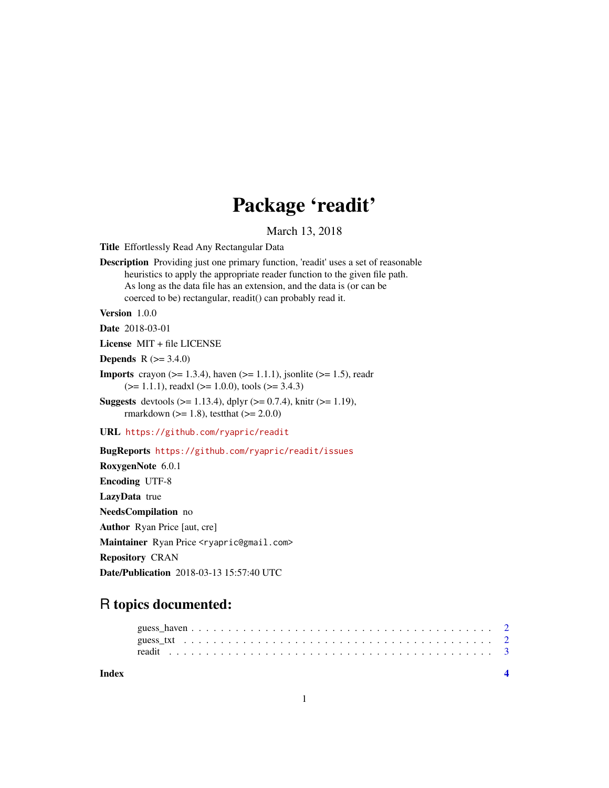## Package 'readit'

#### March 13, 2018

Title Effortlessly Read Any Rectangular Data

Description Providing just one primary function, 'readit' uses a set of reasonable heuristics to apply the appropriate reader function to the given file path. As long as the data file has an extension, and the data is (or can be coerced to be) rectangular, readit() can probably read it.

Version 1.0.0

Date 2018-03-01

License MIT + file LICENSE

**Depends** R  $(>= 3.4.0)$ 

- **Imports** crayon ( $>= 1.3.4$ ), haven ( $>= 1.1.1$ ), jsonlite ( $>= 1.5$ ), readr  $(>= 1.1.1)$ , readxl  $(>= 1.0.0)$ , tools  $(>= 3.4.3)$
- **Suggests** devtools ( $> = 1.13.4$ ), dplyr ( $> = 0.7.4$ ), knitr ( $> = 1.19$ ), rmarkdown ( $>= 1.8$ ), testthat ( $>= 2.0.0$ )

URL <https://github.com/ryapric/readit>

BugReports <https://github.com/ryapric/readit/issues>

RoxygenNote 6.0.1 Encoding UTF-8 LazyData true NeedsCompilation no Author Ryan Price [aut, cre] Maintainer Ryan Price <ryapric@gmail.com> Repository CRAN Date/Publication 2018-03-13 15:57:40 UTC

### R topics documented:

| Index |  |  |  |  |  |  |  |  |  |  |  |  |  |  |  |  |  |  |  |
|-------|--|--|--|--|--|--|--|--|--|--|--|--|--|--|--|--|--|--|--|
|       |  |  |  |  |  |  |  |  |  |  |  |  |  |  |  |  |  |  |  |
|       |  |  |  |  |  |  |  |  |  |  |  |  |  |  |  |  |  |  |  |

1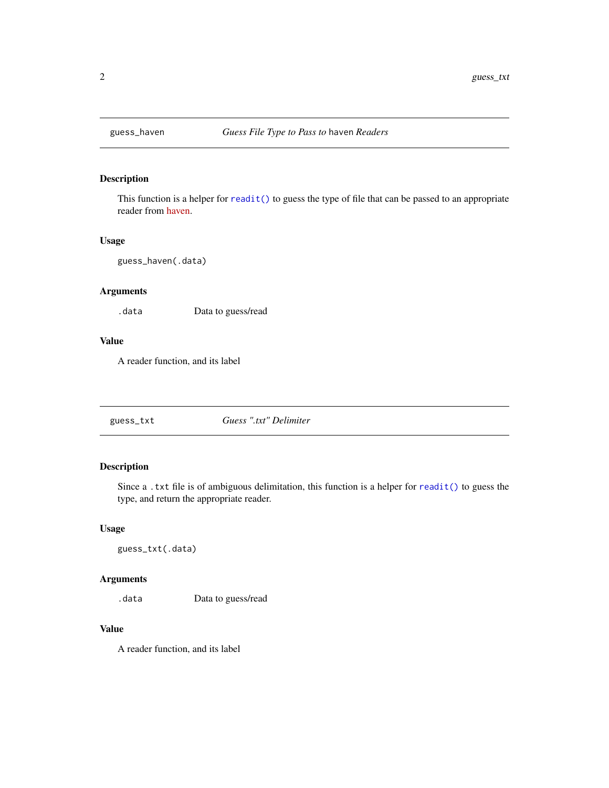<span id="page-1-0"></span>

#### Description

This function is a helper for [readit\(\)](#page-2-1) to guess the type of file that can be passed to an appropriate reader from [haven.](https://cran.r-project.org/package=haven)

#### Usage

guess\_haven(.data)

#### Arguments

.data Data to guess/read

#### Value

A reader function, and its label

guess\_txt *Guess ".txt" Delimiter*

#### Description

Since a .txt file is of ambiguous delimitation, this function is a helper for [readit\(\)](#page-2-1) to guess the type, and return the appropriate reader.

#### Usage

guess\_txt(.data)

#### Arguments

.data Data to guess/read

#### Value

A reader function, and its label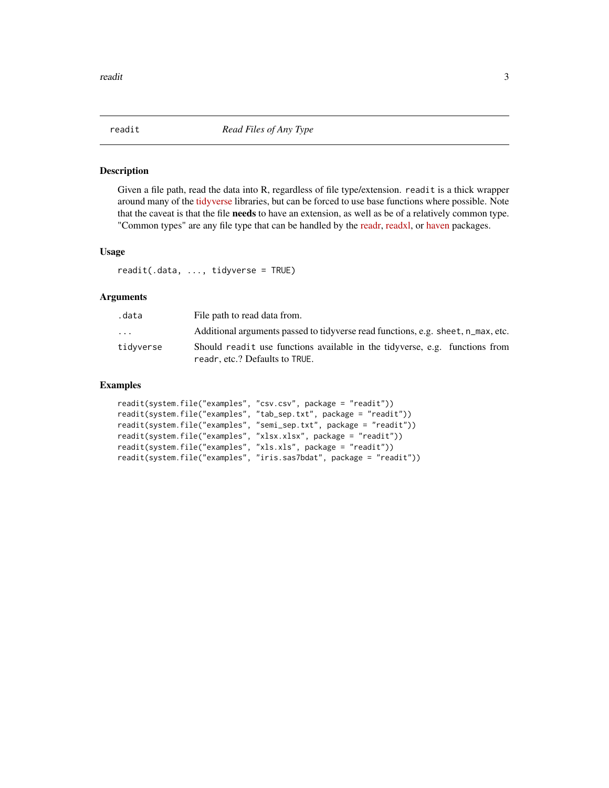<span id="page-2-1"></span><span id="page-2-0"></span>

#### Description

Given a file path, read the data into R, regardless of file type/extension. readit is a thick wrapper around many of the [tidyverse](https://www.tidyverse.org/) libraries, but can be forced to use base functions where possible. Note that the caveat is that the file needs to have an extension, as well as be of a relatively common type. "Common types" are any file type that can be handled by the [readr,](https://cran.r-project.org/package=readr) [readxl,](https://cran.r-project.org/package=readxl) or [haven](https://cran.r-project.org/package=haven) packages.

#### Usage

readit(.data, ..., tidyverse = TRUE)

#### Arguments

| .data     | File path to read data from.                                                                                  |
|-----------|---------------------------------------------------------------------------------------------------------------|
| $\ddotsc$ | Additional arguments passed to tidyverse read functions, e.g. sheet, n_max, etc.                              |
| tidyverse | Should readit use functions available in the tidyverse, e.g. functions from<br>readr, etc.? Defaults to TRUE. |

#### Examples

```
readit(system.file("examples", "csv.csv", package = "readit"))
readit(system.file("examples", "tab_sep.txt", package = "readit"))
readit(system.file("examples", "semi_sep.txt", package = "readit"))
readit(system.file("examples", "xlsx.xlsx", package = "readit"))
readit(system.file("examples", "xls.xls", package = "readit"))
readit(system.file("examples", "iris.sas7bdat", package = "readit"))
```